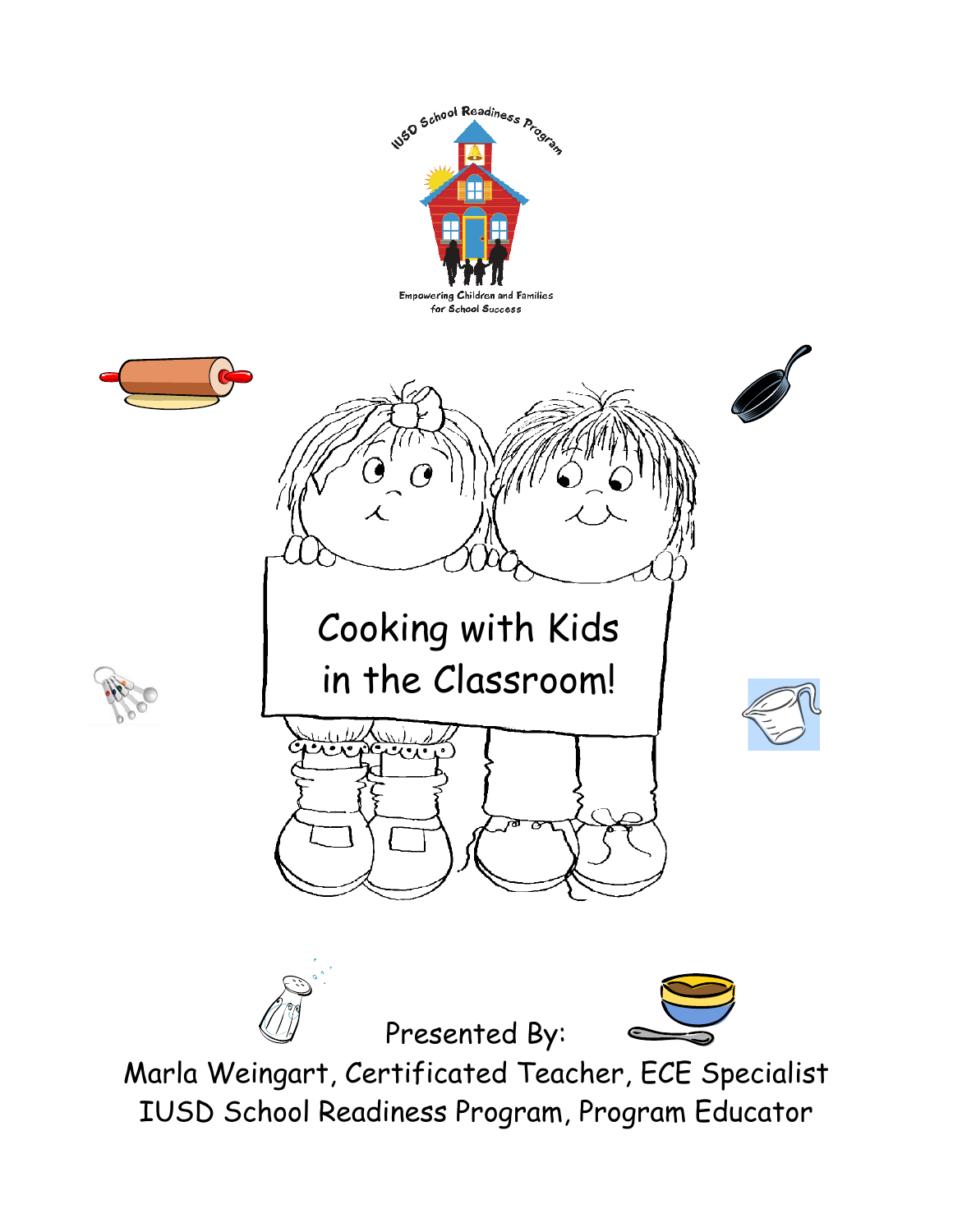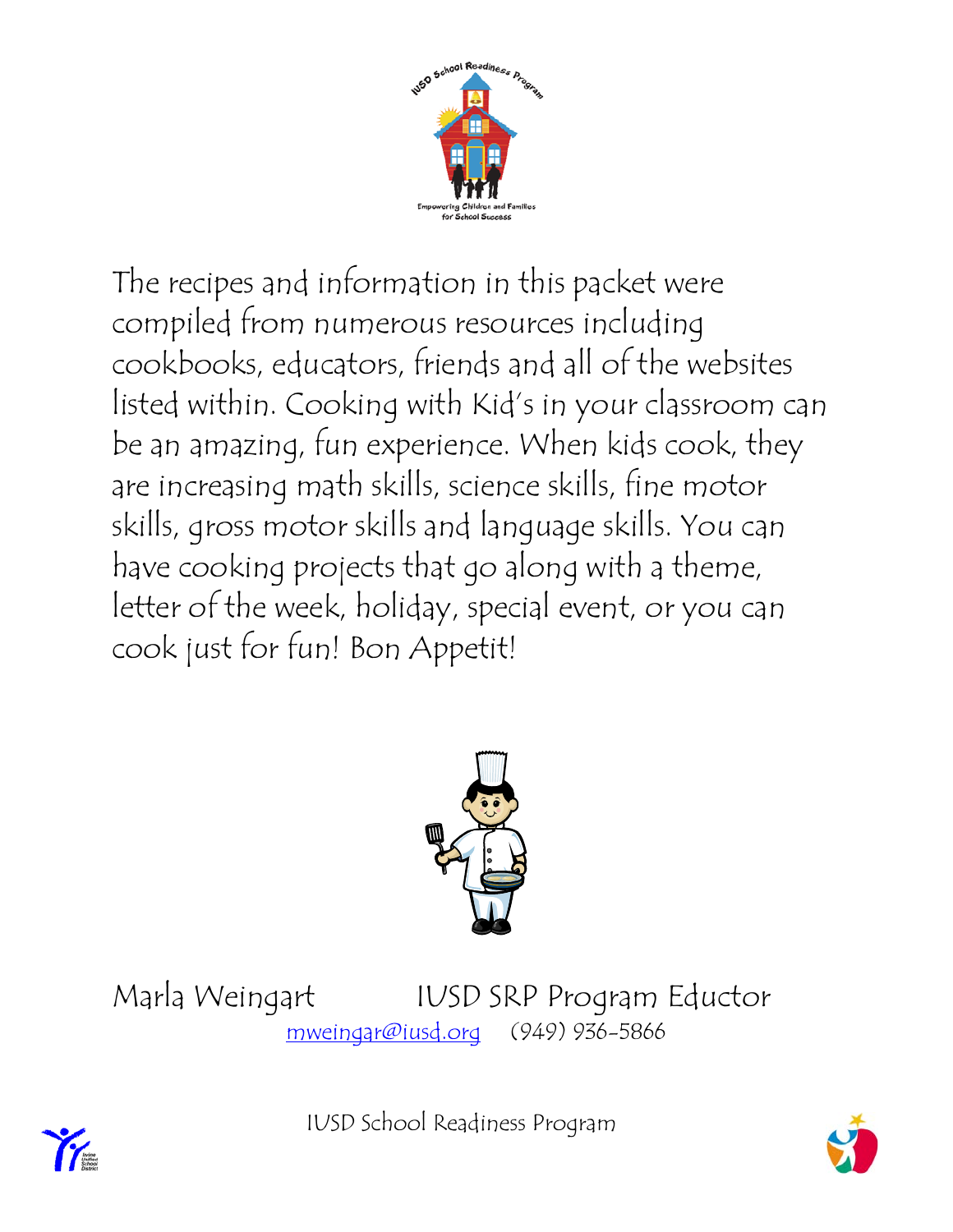

The recipes and information in this packet were compiled from numerous resources including cookbooks, educators, friends and all of the websites listed within. Cooking with Kid's in your classroom can be an amazing, fun experience. When kids cook, they are increasing math skills, science skills, fine motor skills, gross motor skills and language skills. You can have cooking projects that go along with a theme, letter of the week, holiday, special event, or you can cook just for fun! Bon Appetit!



Marla Weingart IUSD SRP Program Eductor mweingar@iusd.org (949) 936-5866





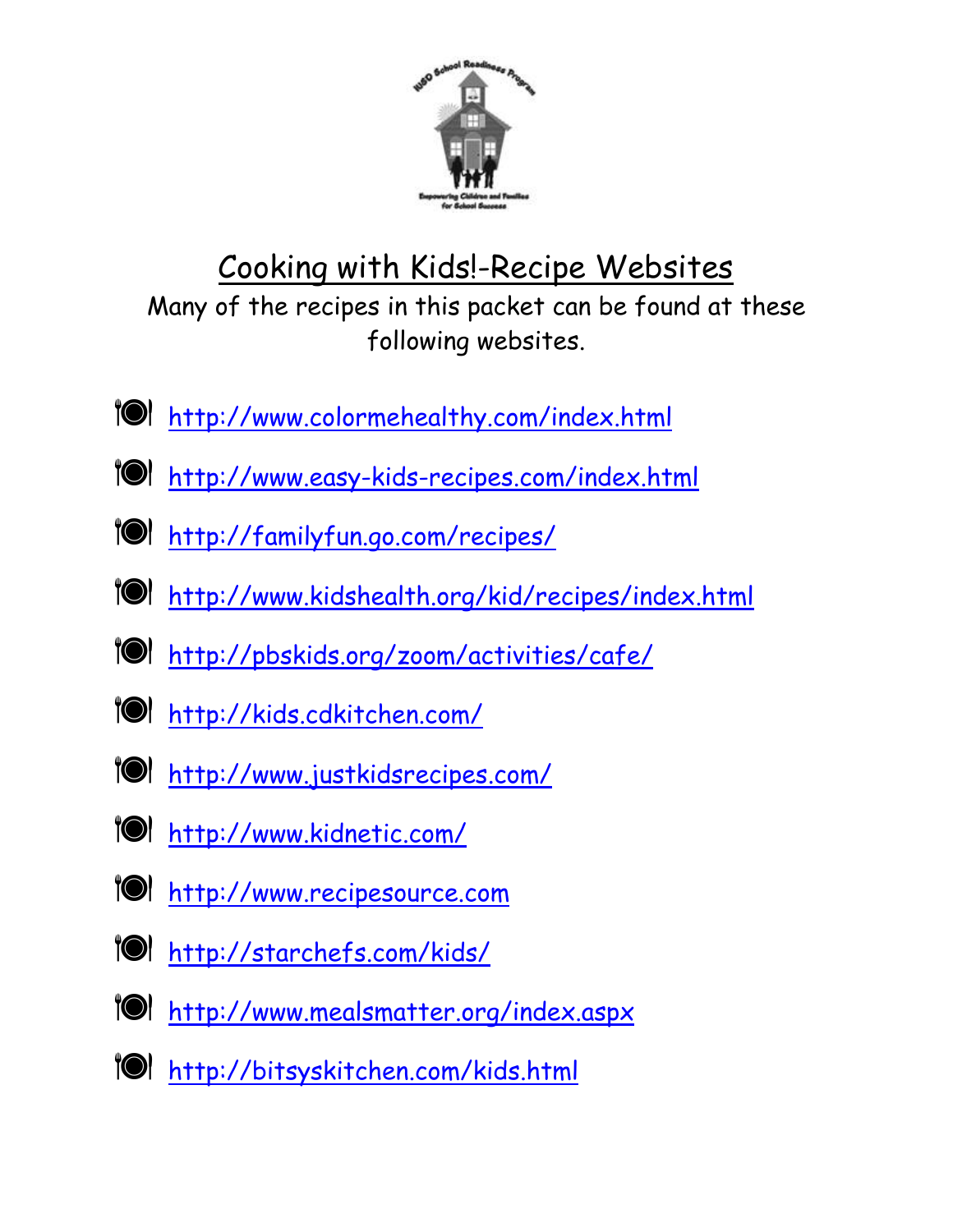

# Cooking with Kids!-Recipe Websites Many of the recipes in this packet can be found at these following websites.

- tol http://www.colormehealthy.com/index.html
- tol http://www.easy-kids-recipes.com/index.html
- Æ http://familyfun.go.com/recipes/
- Æ http://www.kidshealth.org/kid/recipes/index.html
- tol http://pbskids.org/zoom/activities/cafe/
- tol http://kids.cdkitchen.com/
- tol http://www.justkidsrecipes.com/
- tol http://www.kidnetic.com/
- TOI http://www.recipesource.com
- <u> 10 http://starchefs.com/kids/</u>
- TOI http://www.mealsmatter.org/index.aspx
- 10 http://bitsyskitchen.com/kids.html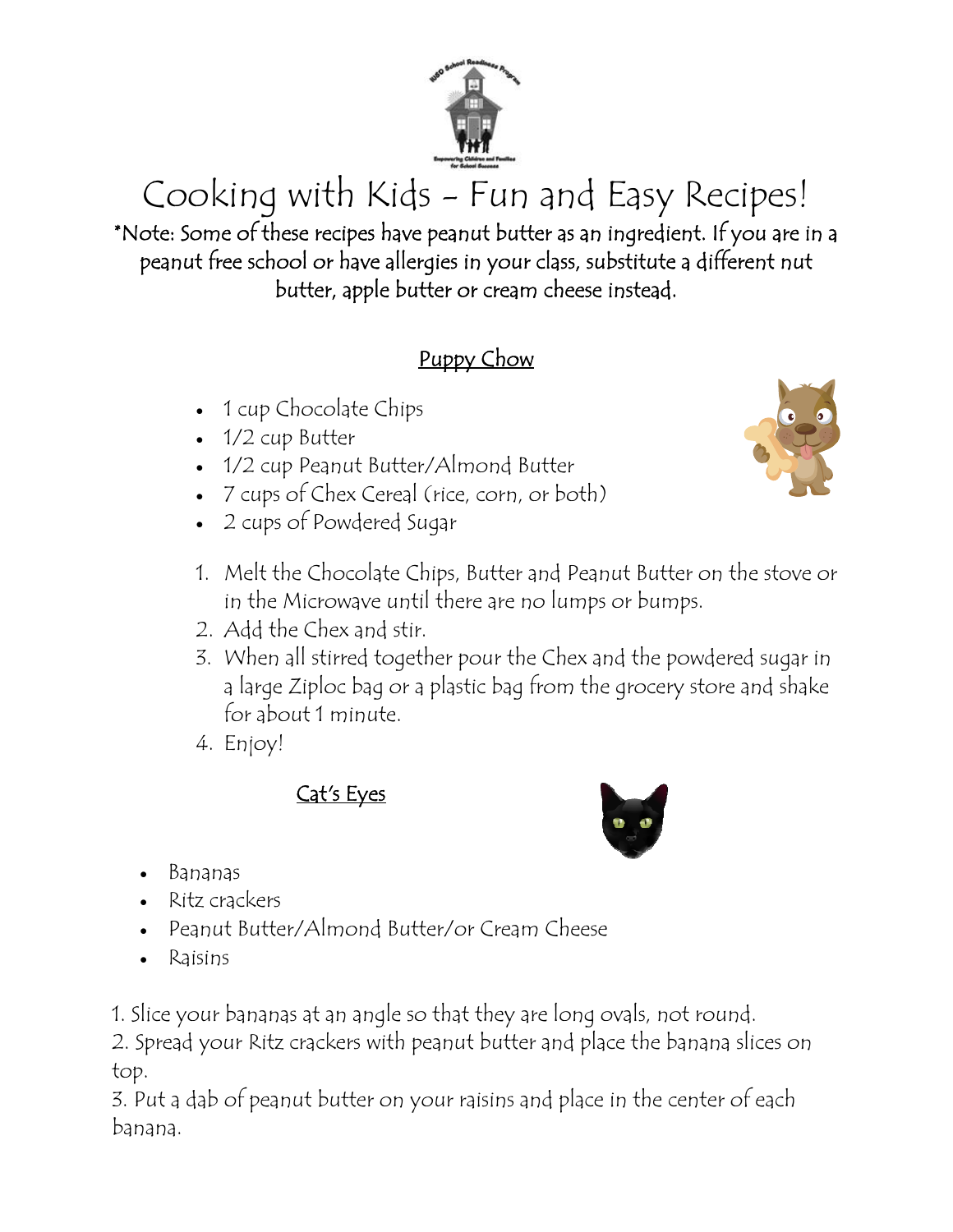

Cooking with Kids - Fun and Easy Recipes! \*Note: Some of these recipes have peanut butter as an ingredient. If you are in a peanut free school or have allergies in your class, substitute a different nut butter, apple butter or cream cheese instead.

## Puppy Chow

- 1 cup Chocolate Chips
- 1/2 cup Butter
- 1/2 cup Peanut Butter/Almond Butter
- 7 cups of Chex Cereal (rice, corn, or both)
- 2 cups of Powdered Sugar



- 1. Melt the Chocolate Chips, Butter and Peanut Butter on the stove or in the Microwave until there are no lumps or bumps.
- 2. Add the Chex and stir.
- 3. When all stirred together pour the Chex and the powdered sugar in a large Ziploc bag or a plastic bag from the grocery store and shake for about 1 minute.
- 4. Enjoy!

# Cat's Eyes

- Bananas
- Ritz crackers
- Peanut Butter/Almond Butter/or Cream Cheese
- Raisins
- 1. Slice your bananas at an angle so that they are long ovals, not round.

2. Spread your Ritz crackers with peanut butter and place the banana slices on top.

3. Put a dab of peanut butter on your raisins and place in the center of each banana.

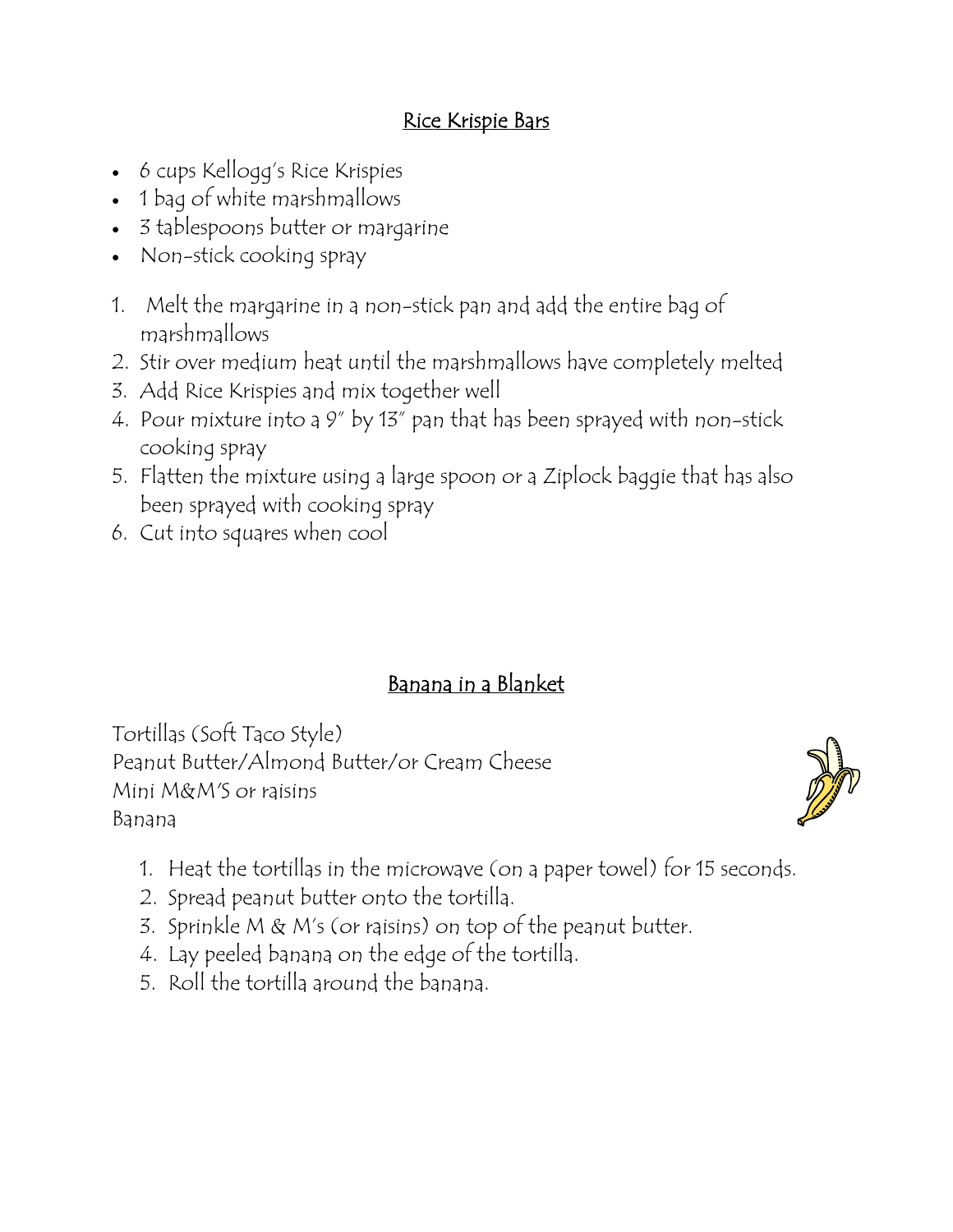#### Rice Krispie Bars

- 6 cups Kellogg's Rice Krispies
- 1 bag of white marshmallows
- 3 tablespoons butter or margarine
- Non-stick cooking spray
- 1. Melt the margarine in a non-stick pan and add the entire bag of marshmallows
- 2. Stir over medium heat until the marshmallows have completely melted
- 3. Add Rice Krispies and mix together well
- 4. Pour mixture into a 9" by 13" pan that has been sprayed with non-stick cooking spray
- 5. Flatten the mixture using a large spoon or a Ziplock baggie that has also been sprayed with cooking spray
- 6. Cut into squares when cool

#### Banana in a Blanket

Tortillas (Soft Taco Style) Peanut Butter/Almond Butter/or Cream Cheese Mini M&M'S or raisins Banana



- 1. Heat the tortillas in the microwave (on a paper towel) for 15 seconds.
- 2. Spread peanut butter onto the tortilla.
- 3. Sprinkle M & M's (or raisins) on top of the peanut butter.
- 4. Lay peeled banana on the edge of the tortilla.
- 5. Roll the tortilla around the banana.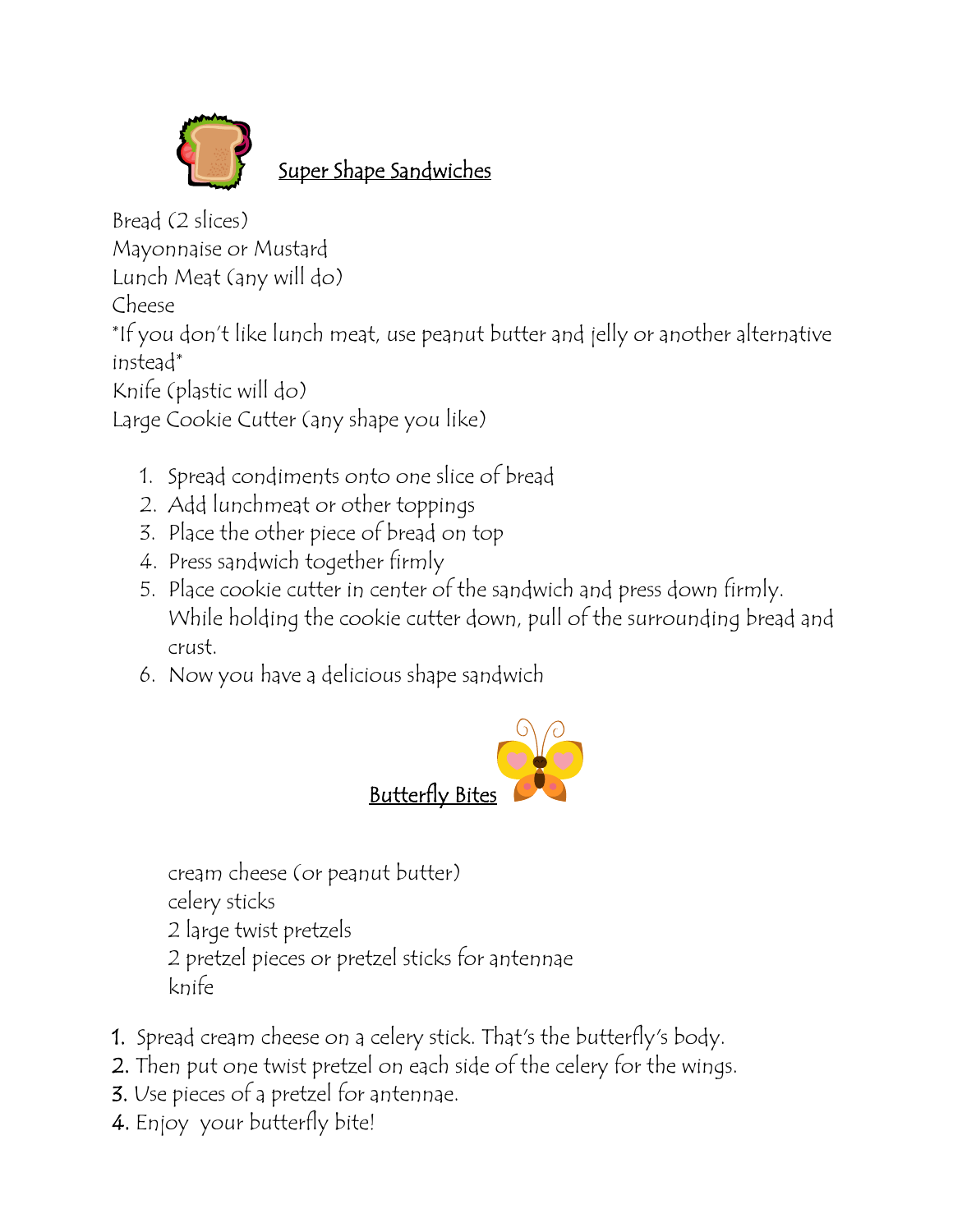

# Super Shape Sandwiches

Bread (2 slices) Mayonnaise or Mustard Lunch Meat (any will do) Cheese \*If you don't like lunch meat, use peanut butter and jelly or another alternative instead\* Knife (plastic will do) Large Cookie Cutter (any shape you like)

- 1. Spread condiments onto one slice of bread
- 2. Add lunchmeat or other toppings
- 3. Place the other piece of bread on top
- 4. Press sandwich together firmly
- 5. Place cookie cutter in center of the sandwich and press down firmly. While holding the cookie cutter down, pull of the surrounding bread and crust.
- 6. Now you have a delicious shape sandwich



cream cheese (or peanut butter) celery sticks 2 large twist pretzels 2 pretzel pieces or pretzel sticks for antennae knife

- 1. Spread cream cheese on a celery stick. That's the butterfly's body.
- 2. Then put one twist pretzel on each side of the celery for the wings.
- 3. Use pieces of a pretzel for antennae.
- 4. Enjoy your butterfly bite!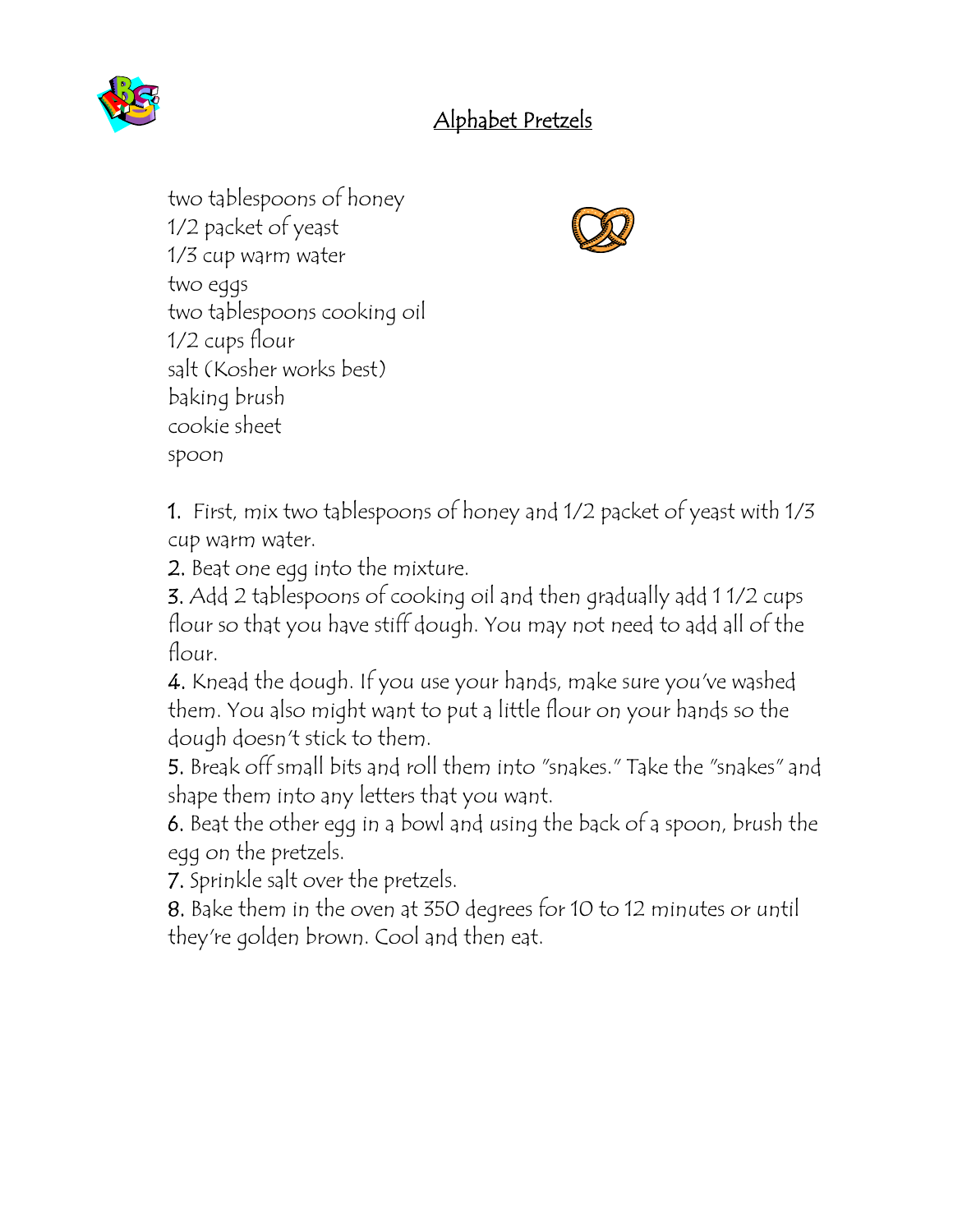

## Alphabet Pretzels

two tablespoons of honey 1/2 packet of yeast 1/3 cup warm water two eggs two tablespoons cooking oil 1/2 cups flour salt (Kosher works best) baking brush cookie sheet spoon



1. First, mix two tablespoons of honey and 1/2 packet of yeast with 1/3 cup warm water.

2. Beat one egg into the mixture.

3. Add 2 tablespoons of cooking oil and then gradually add 1 1/2 cups flour so that you have stiff dough. You may not need to add all of the flour.

4. Knead the dough. If you use your hands, make sure you've washed them. You also might want to put a little flour on your hands so the dough doesn't stick to them.

5. Break off small bits and roll them into "snakes." Take the "snakes" and shape them into any letters that you want.

6. Beat the other egg in a bowl and using the back of a spoon, brush the egg on the pretzels.

7. Sprinkle salt over the pretzels.

8. Bake them in the oven at 350 degrees for 10 to 12 minutes or until they're golden brown. Cool and then eat.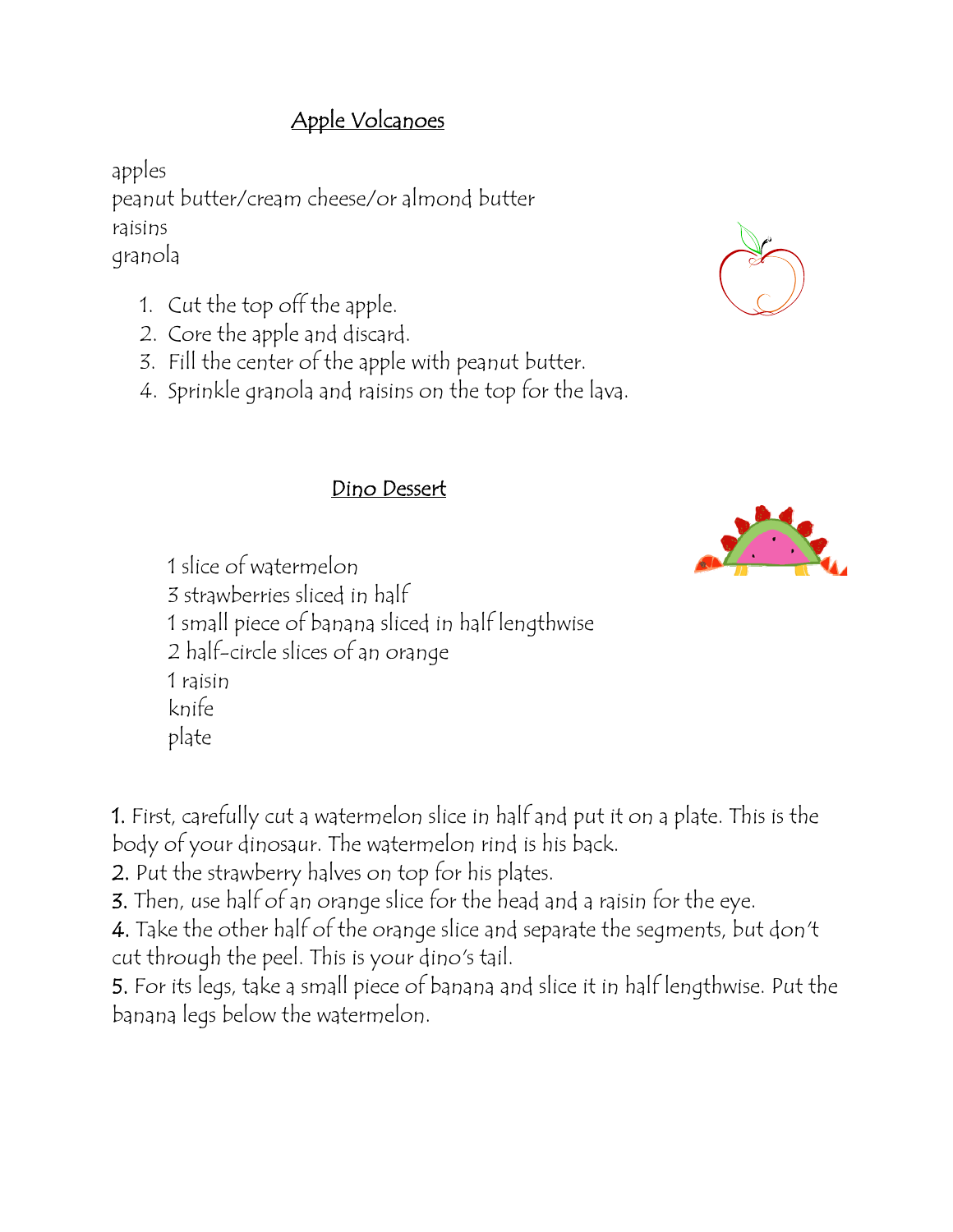## Apple Volcanoes

apples peanut butter/cream cheese/or almond butter raisins granola

- 1. Cut the top off the apple.
- 2. Core the apple and discard.
- 3. Fill the center of the apple with peanut butter.
- 4. Sprinkle granola and raisins on the top for the lava.

#### Dino Dessert

1 slice of watermelon 3 strawberries sliced in half 1 small piece of banana sliced in half lengthwise 2 half-circle slices of an orange 1 raisin knife plate

1. First, carefully cut a watermelon slice in half and put it on a plate. This is the body of your dinosaur. The watermelon rind is his back.

2. Put the strawberry halves on top for his plates.

3. Then, use half of an orange slice for the head and a raisin for the eye.

4. Take the other half of the orange slice and separate the segments, but don't cut through the peel. This is your dino's tail.

5. For its legs, take a small piece of banana and slice it in half lengthwise. Put the banana legs below the watermelon.



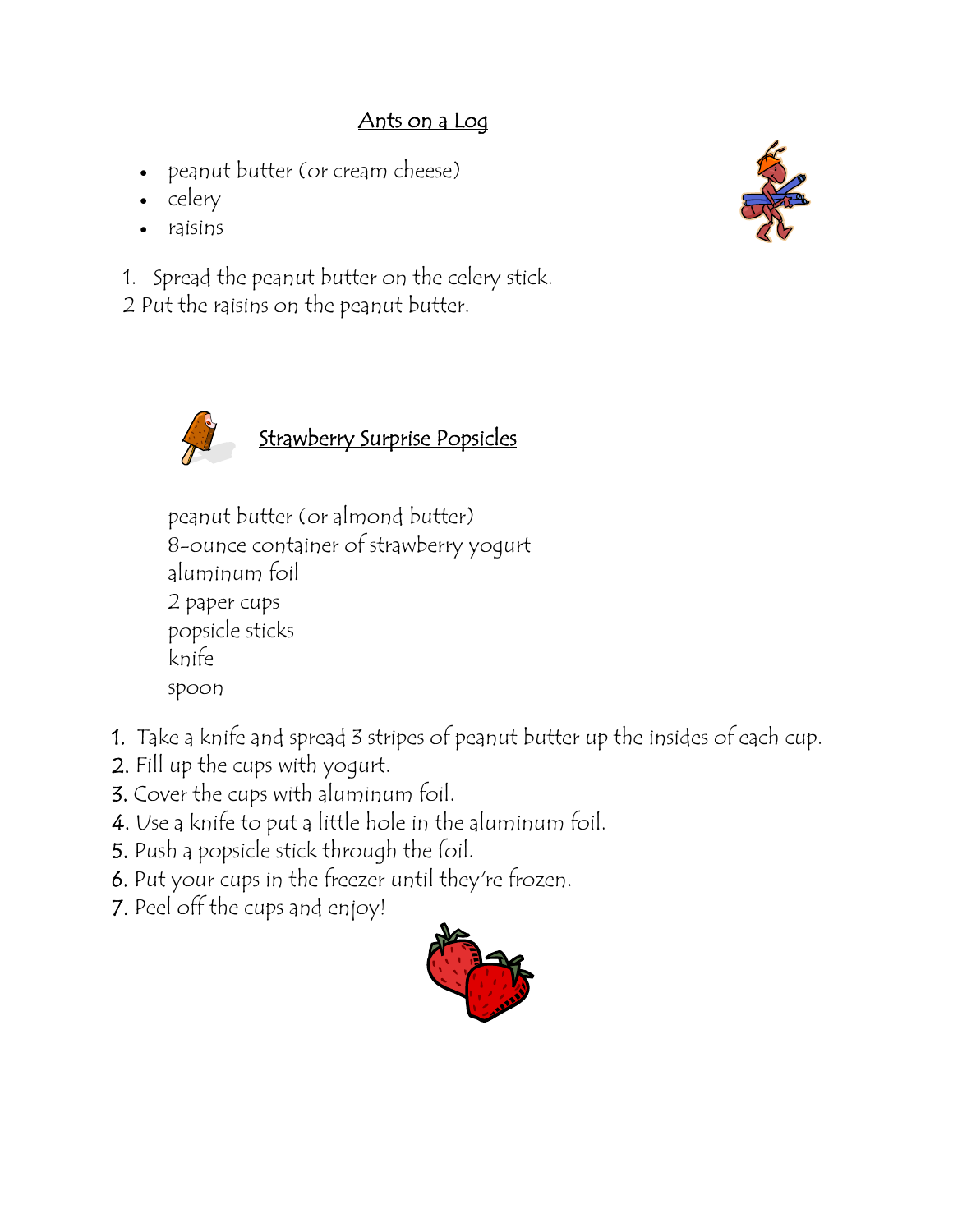## Ants on a Log

- peanut butter (or cream cheese)
- celery
- raisins

 1. Spread the peanut butter on the celery stick. 2 Put the raisins on the peanut butter.





peanut butter (or almond butter) 8-ounce container of strawberry yogurt aluminum foil 2 paper cups popsicle sticks knife spoon

- 1. Take a knife and spread 3 stripes of peanut butter up the insides of each cup.
- 2. Fill up the cups with yogurt.
- 3. Cover the cups with aluminum foil.
- 4. Use a knife to put a little hole in the aluminum foil.
- 5. Push a popsicle stick through the foil.
- 6. Put your cups in the freezer until they're frozen.
- 7. Peel off the cups and enjoy!

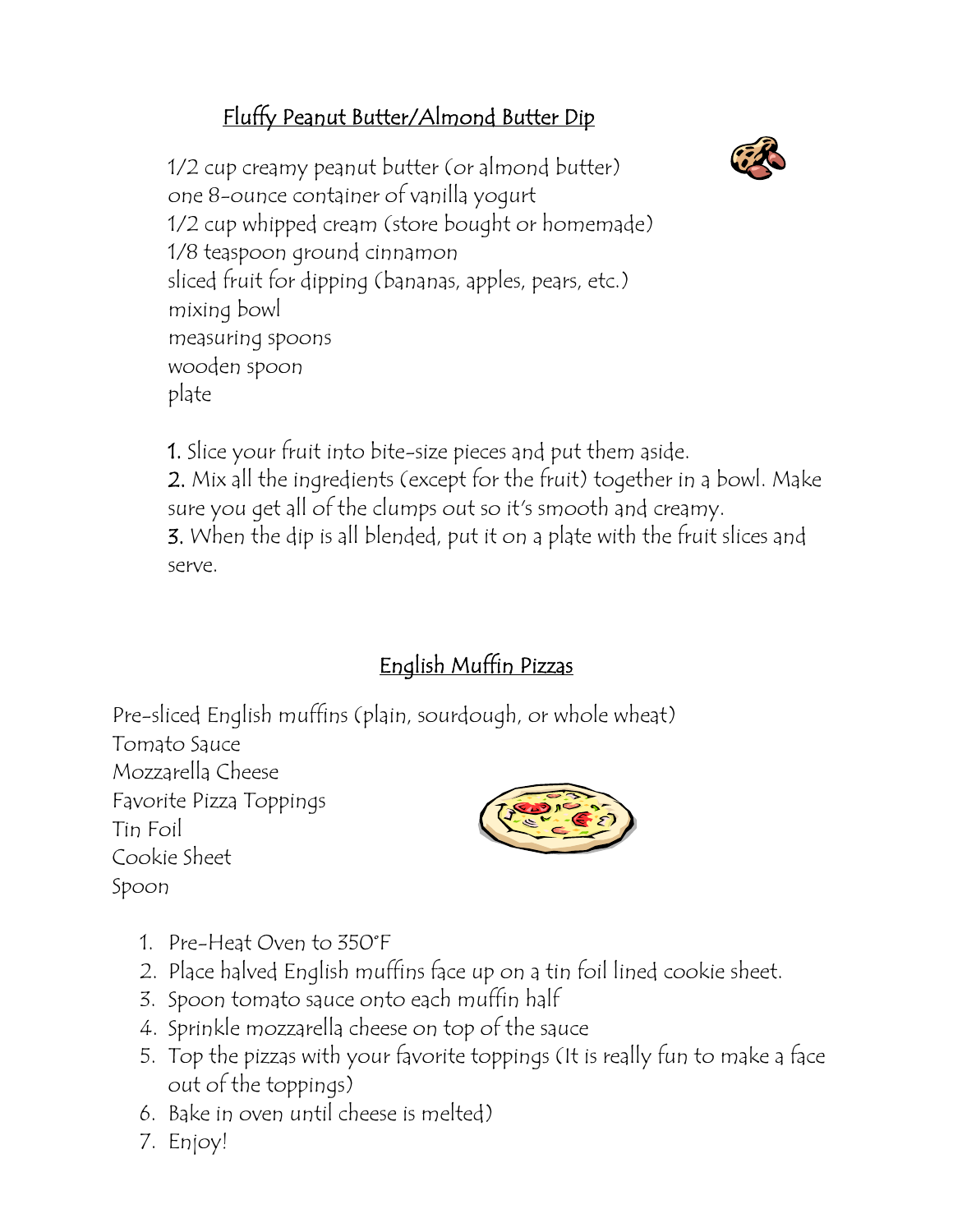# Fluffy Peanut Butter/Almond Butter Dip



1/2 cup creamy peanut butter (or almond butter) one 8-ounce container of vanilla yogurt 1/2 cup whipped cream (store bought or homemade) 1/8 teaspoon ground cinnamon sliced fruit for dipping (bananas, apples, pears, etc.) mixing bowl measuring spoons wooden spoon plate

1. Slice your fruit into bite-size pieces and put them aside. 2. Mix all the ingredients (except for the fruit) together in a bowl. Make sure you get all of the clumps out so it's smooth and creamy. 3. When the dip is all blended, put it on a plate with the fruit slices and serve.

# English Muffin Pizzas

Pre-sliced English muffins (plain, sourdough, or whole wheat)

Tomato Sauce Mozzarella Cheese Favorite Pizza Toppings Tin Foil Cookie Sheet Spoon



- 1. Pre-Heat Oven to 350°F
- 2. Place halved English muffins face up on a tin foil lined cookie sheet.
- 3. Spoon tomato sauce onto each muffin half
- 4. Sprinkle mozzarella cheese on top of the sauce
- 5. Top the pizzas with your favorite toppings (It is really fun to make a face out of the toppings)
- 6. Bake in oven until cheese is melted)
- 7. Enjoy!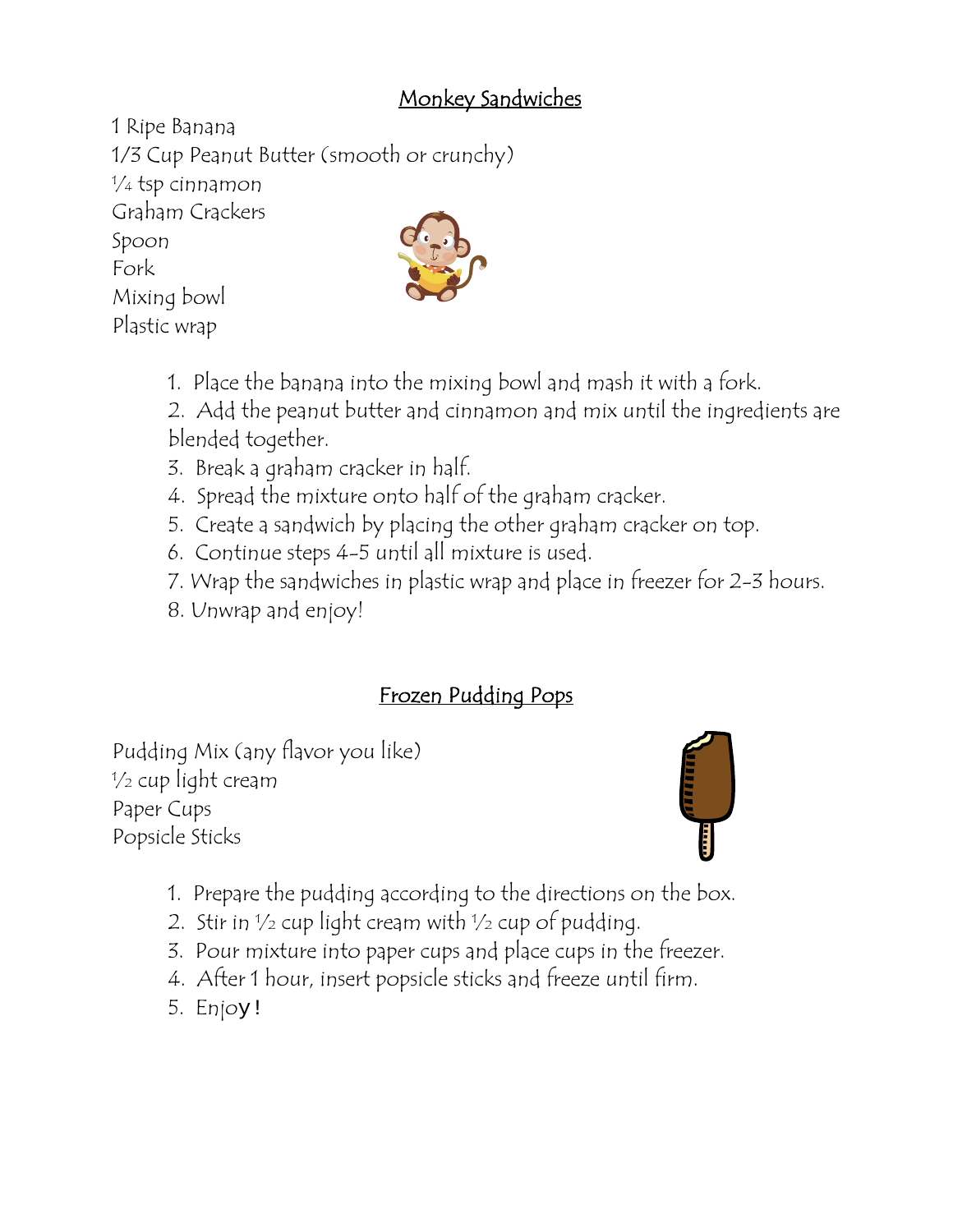#### Monkey Sandwiches

1 Ripe Banana 1/3 Cup Peanut Butter (smooth or crunchy)  $\frac{1}{4}$  tsp cinnamon Graham Crackers Spoon Fork Mixing bowl Plastic wrap

- 1. Place the banana into the mixing bowl and mash it with a fork.
- 2. Add the peanut butter and cinnamon and mix until the ingredients are blended together.
- 3. Break a graham cracker in half.
- 4. Spread the mixture onto half of the graham cracker.
- 5. Create a sandwich by placing the other graham cracker on top.
- 6. Continue steps 4-5 until all mixture is used.
- 7. Wrap the sandwiches in plastic wrap and place in freezer for 2-3 hours.
- 8. Unwrap and enjoy!

## Frozen Pudding Pops

Pudding Mix (any flavor you like)  $\frac{1}{2}$  cup light cream Paper Cups Popsicle Sticks



- 1. Prepare the pudding according to the directions on the box.
- 2. Stir in  $\frac{1}{2}$  cup light cream with  $\frac{1}{2}$  cup of pudding.
- 3. Pour mixture into paper cups and place cups in the freezer.
- 4. After 1 hour, insert popsicle sticks and freeze until firm.
- 5. Enjoy!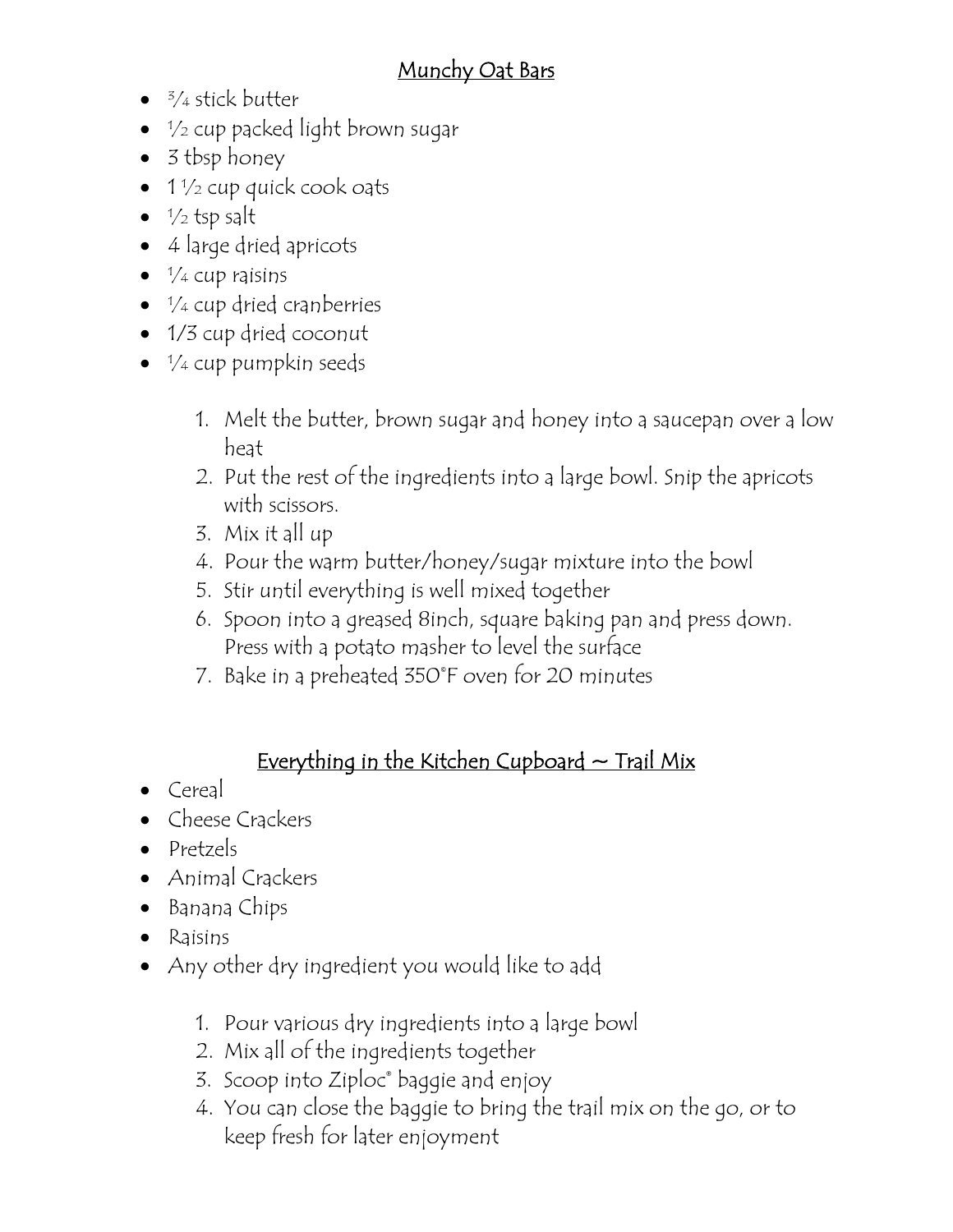#### Munchy Oat Bars

- $<sup>3</sup>/<sub>4</sub>$  stick butter
- $\bullet$   $\frac{1}{2}$  cup packed light brown sugar
- 3 tbsp honey
- $\bullet$  1  $\frac{1}{2}$  cup quick cook oats
- $\frac{1}{2}$  tsp salt
- 4 large dried apricots
- $\bullet$   $\frac{1}{4}$  cup raisins
- $\frac{1}{4}$  cup dried cranberries
- 1/3 cup dried coconut
- $\bullet$   $\frac{1}{4}$  cup pumpkin seeds
	- 1. Melt the butter, brown sugar and honey into a saucepan over a low heat
	- 2. Put the rest of the ingredients into a large bowl. Snip the apricots with scissors.
	- 3. Mix it all up
	- 4. Pour the warm butter/honey/sugar mixture into the bowl
	- 5. Stir until everything is well mixed together
	- 6. Spoon into a greased 8inch, square baking pan and press down. Press with a potato masher to level the surface
	- 7. Bake in a preheated 350©F oven for 20 minutes

#### Everything in the Kitchen Cupboard  $\sim$  Trail Mix

- Cereal
- Cheese Crackers
- Pretzels
- Animal Crackers
- Banana Chips
- Raisins
- Any other dry ingredient you would like to add
	- 1. Pour various dry ingredients into a large bowl
	- 2. Mix all of the ingredients together
	- 3. Scoop into Ziploc® baggie and enjoy
	- 4. You can close the baggie to bring the trail mix on the go, or to keep fresh for later enjoyment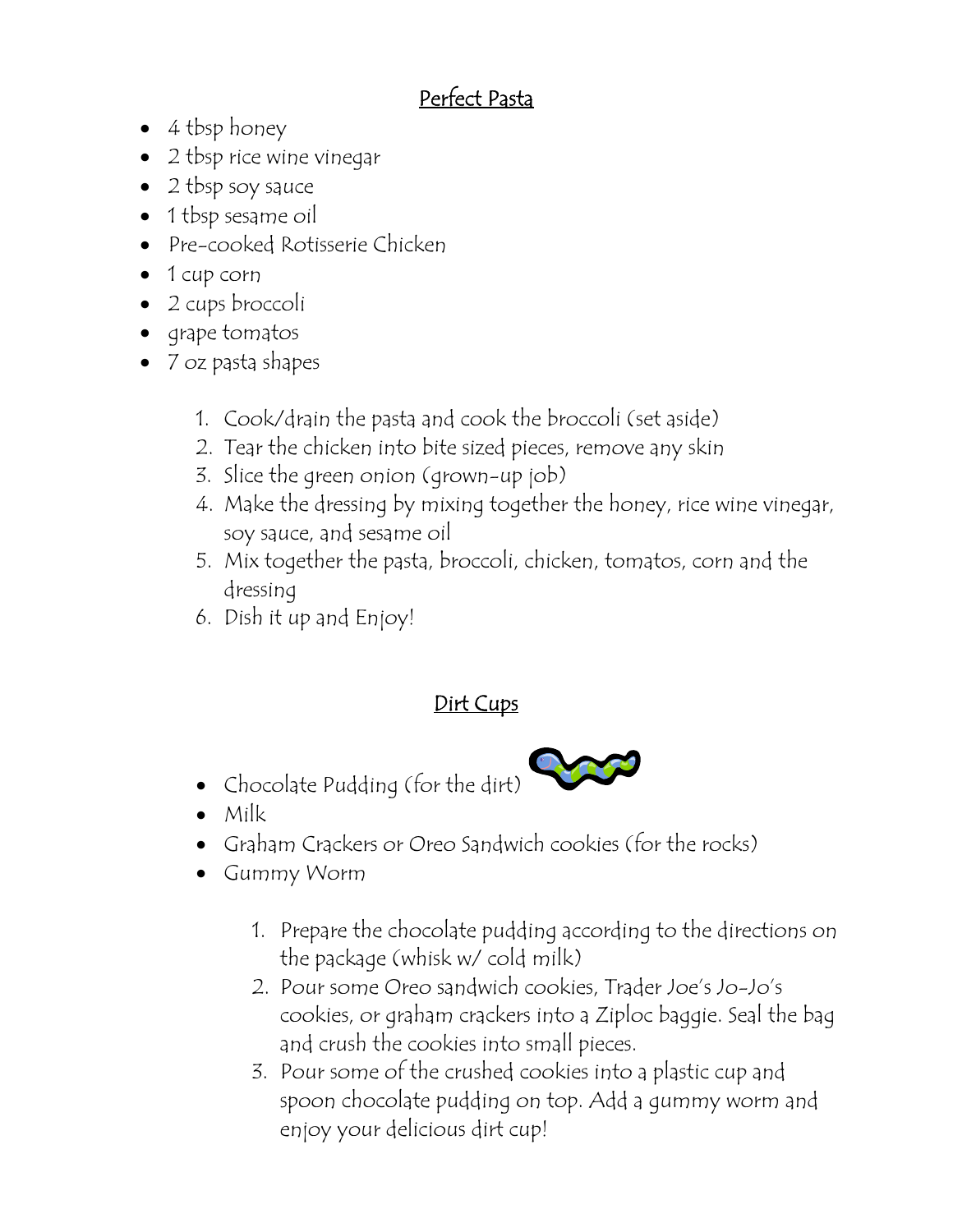## Perfect Pasta

- 4 tbsp honey
- 2 tbsp rice wine vinegar
- 2 tbsp soy sauce
- 1 tbsp sesame oil
- Pre-cooked Rotisserie Chicken
- 1 cup corn
- 2 cups broccoli
- grape tomatos
- 7 oz pasta shapes
	- 1. Cook/drain the pasta and cook the broccoli (set aside)
	- 2. Tear the chicken into bite sized pieces, remove any skin
	- 3. Slice the green onion (grown-up job)
	- 4. Make the dressing by mixing together the honey, rice wine vinegar, soy sauce, and sesame oil
	- 5. Mix together the pasta, broccoli, chicken, tomatos, corn and the dressing
	- 6. Dish it up and Enjoy!

## Dirt Cups

• Chocolate Pudding (for the dirt)



- Milk
- Graham Crackers or Oreo Sandwich cookies (for the rocks)
- Gummy Worm
	- 1. Prepare the chocolate pudding according to the directions on the package (whisk w/ cold milk)
	- 2. Pour some Oreo sandwich cookies, Trader Joe's Jo-Jo's cookies, or graham crackers into a Ziploc baggie. Seal the bag and crush the cookies into small pieces.
	- 3. Pour some of the crushed cookies into a plastic cup and spoon chocolate pudding on top. Add a gummy worm and enjoy your delicious dirt cup!